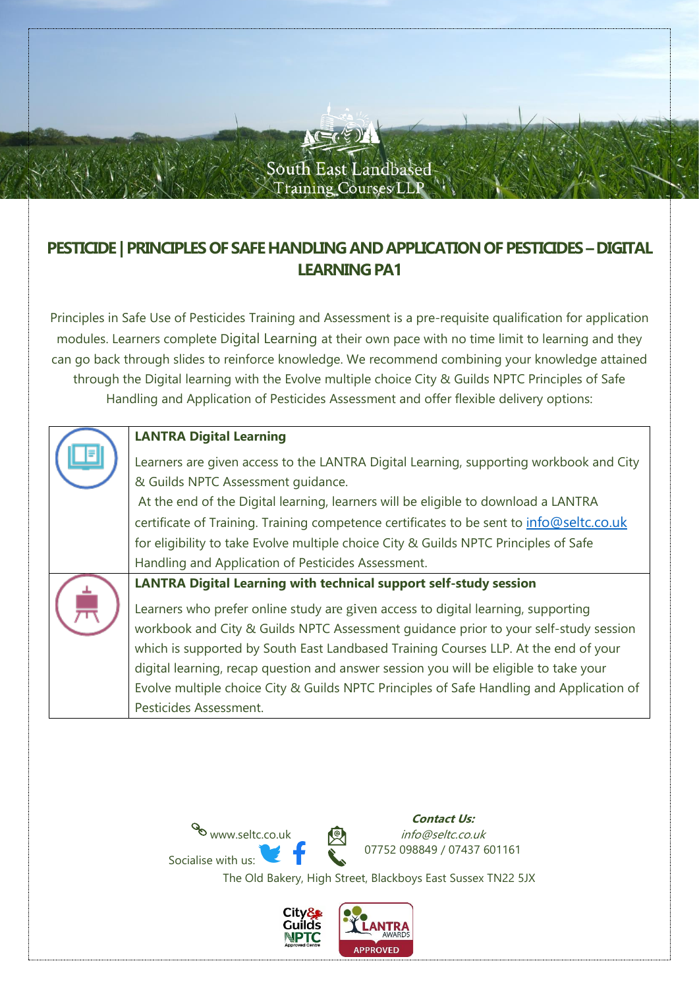

# **PESTICIDE | PRINCIPLES OF SAFE HANDLING AND APPLICATION OF PESTICIDES –DIGITAL LEARNING PA1**

Principles in Safe Use of Pesticides Training and Assessment is a pre-requisite qualification for application modules. Learners complete Digital Learning at their own pace with no time limit to learning and they can go back through slides to reinforce knowledge. We recommend combining your knowledge attained through the Digital learning with the Evolve multiple choice City & Guilds NPTC Principles of Safe Handling and Application of Pesticides Assessment and offer flexible delivery options:

| <b>LANTRA Digital Learning</b>                                                           |
|------------------------------------------------------------------------------------------|
| Learners are given access to the LANTRA Digital Learning, supporting workbook and City   |
| & Guilds NPTC Assessment quidance.                                                       |
| At the end of the Digital learning, learners will be eligible to download a LANTRA       |
| certificate of Training. Training competence certificates to be sent to info@seltc.co.uk |
| for eligibility to take Evolve multiple choice City & Guilds NPTC Principles of Safe     |
| Handling and Application of Pesticides Assessment.                                       |
| <b>LANTRA Digital Learning with technical support self-study session</b>                 |
| Learners who prefer online study are given access to digital learning, supporting        |
| workbook and City & Guilds NPTC Assessment guidance prior to your self-study session     |
| which is supported by South East Landbased Training Courses LLP. At the end of your      |
| digital learning, recap question and answer session you will be eligible to take your    |
| Evolve multiple choice City & Guilds NPTC Principles of Safe Handling and Application of |
| Pesticides Assessment.                                                                   |
|                                                                                          |



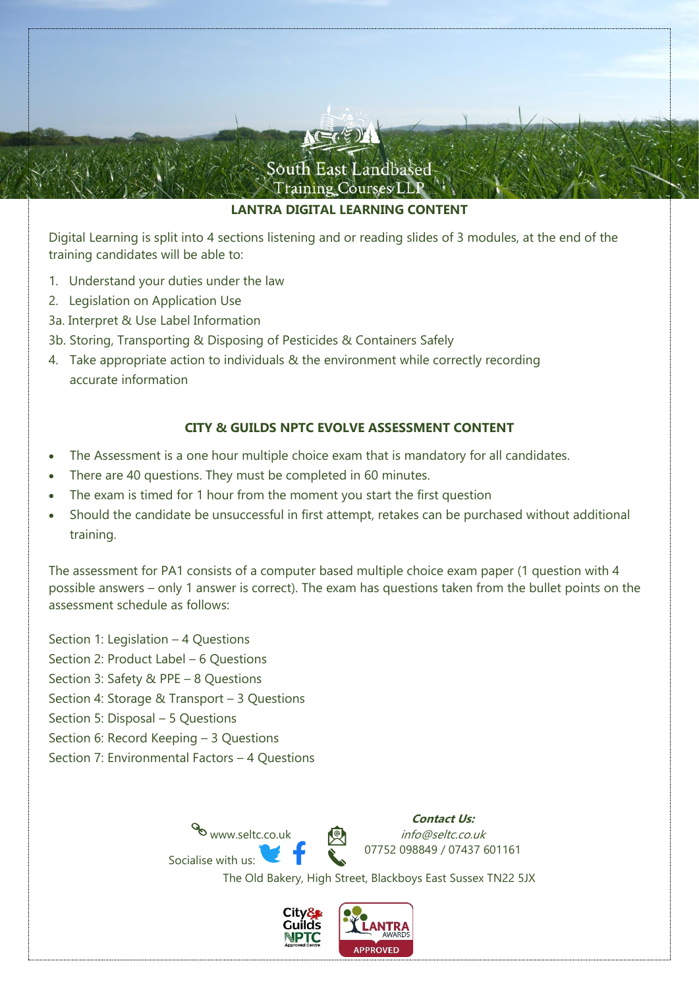

### **LANTRA DIGITAL LEARNING CONTENT**

Digital Learning is split into 4 sections listening and or reading slides of 3 modules, at the end of the training candidates will be able to:

- 1. Understand your duties under the law
- 2. Legislation on Application Use
- 3a. Interpret & Use Label Information
- 3b. Storing, Transporting & Disposing of Pesticides & Containers Safely
- 4. Take appropriate action to individuals & the environment while correctly recording accurate information

### **CITY & GUILDS NPTC EVOLVE ASSESSMENT CONTENT**

- The Assessment is a one hour multiple choice exam that is mandatory for all candidates.
- There are 40 questions. They must be completed in 60 minutes.
- The exam is timed for 1 hour from the moment you start the first question
- Should the candidate be unsuccessful in first attempt, retakes can be purchased without additional training.

The assessment for PA1 consists of a computer based multiple choice exam paper (1 question with 4 possible answers – only 1 answer is correct). The exam has questions taken from the bullet points on the assessment schedule as follows:

Section 1: Legislation – 4 Questions Section 2: Product Label – 6 Questions Section 3: Safety & PPE – 8 Questions Section 4: Storage & Transport – 3 Questions Section 5: Disposal – 5 Questions Section 6: Record Keeping – 3 Questions

Section 7: Environmental Factors – 4 Questions



**Contact Us:** info@seltc.co.uk 07752 098849 / 07437 601161

The Old Bakery, High Street, Blackboys East Sussex TN22 5JX